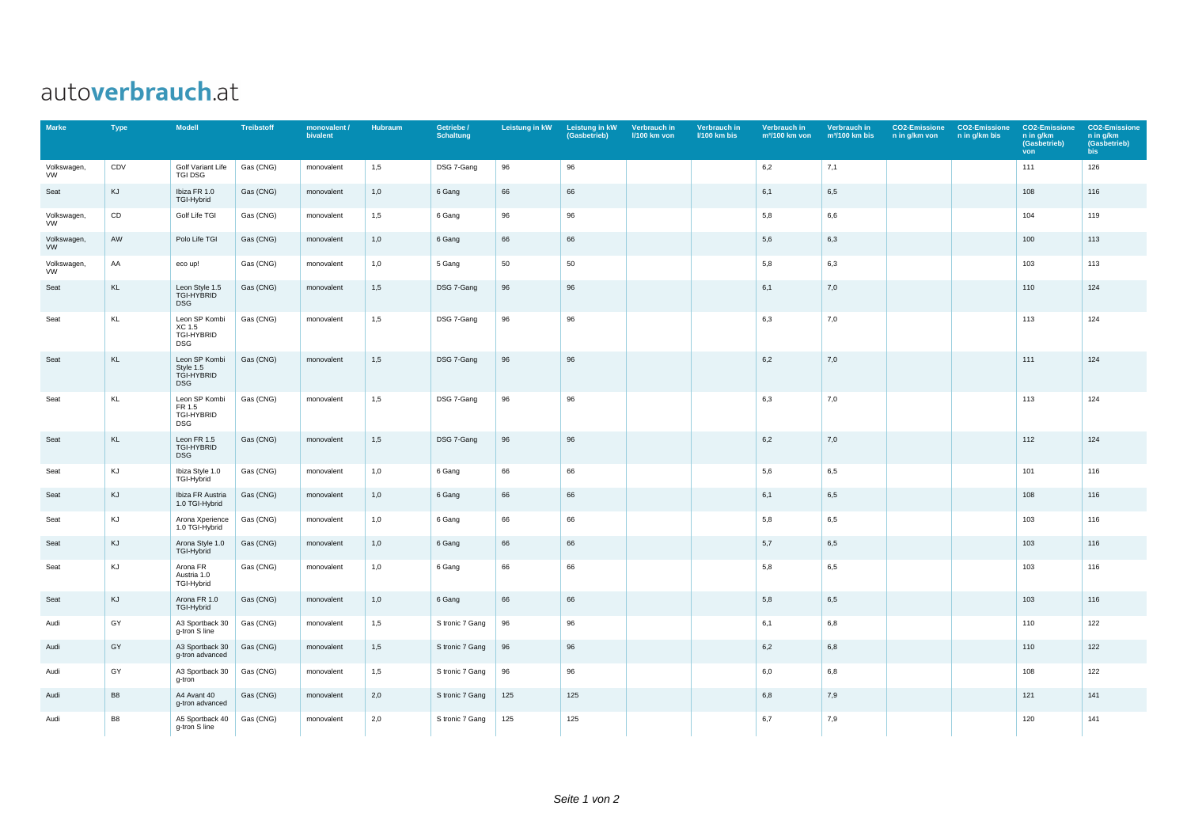## autoverbrauch.at

| <b>Marke</b>             | <b>Type</b>    | <b>Modell</b>                                          | <b>Treibstoff</b> | monovalent /<br>bivalent | <b>Hubraum</b> | Getriebe /<br><b>Schaltung</b> | Leistung in kW | Leistung in kW<br>(Gasbetrieb) | Verbrauch in<br><b>I/100 km von</b> | Verbrauch in<br><b>I/100 km bis</b> | Verbrauch in<br>$m^3/100$ km von | Verbrauch in<br>$m3/100$ km bis | <b>CO2-Emissione</b><br>n in g/km von | <b>CO2-Emissione</b><br>n in g/km bis | <b>CO2-Emissione</b><br>n in g/km<br>(Gasbetrieb)<br>von | <b>CO2-Emissione</b><br>n in g/km<br>(Gasbetrieb)<br>bis |
|--------------------------|----------------|--------------------------------------------------------|-------------------|--------------------------|----------------|--------------------------------|----------------|--------------------------------|-------------------------------------|-------------------------------------|----------------------------------|---------------------------------|---------------------------------------|---------------------------------------|----------------------------------------------------------|----------------------------------------------------------|
| Volkswagen,<br><b>VW</b> | CDV            | Golf Variant Life<br><b>TGI DSG</b>                    | Gas (CNG)         | monovalent               | 1,5            | DSG 7-Gang                     | 96             | 96                             |                                     |                                     | 6,2                              | 7,1                             |                                       |                                       | 111                                                      | 126                                                      |
| Seat                     | KJ             | Ibiza FR 1.0<br>TGI-Hybrid                             | Gas (CNG)         | monovalent               | 1,0            | 6 Gang                         | 66             | 66                             |                                     |                                     | 6,1                              | 6,5                             |                                       |                                       | 108                                                      | 116                                                      |
| Volkswagen,<br><b>VW</b> | CD             | Golf Life TGI                                          | Gas (CNG)         | monovalent               | 1,5            | 6 Gang                         | 96             | 96                             |                                     |                                     | 5,8                              | 6,6                             |                                       |                                       | 104                                                      | 119                                                      |
| Volkswagen,<br>VW        | AW             | Polo Life TGI                                          | Gas (CNG)         | monovalent               | 1,0            | 6 Gang                         | 66             | 66                             |                                     |                                     | 5,6                              | 6,3                             |                                       |                                       | 100                                                      | 113                                                      |
| Volkswagen,<br>VW        | AA             | eco up!                                                | Gas (CNG)         | monovalent               | 1,0            | 5 Gang                         | 50             | 50                             |                                     |                                     | 5,8                              | 6,3                             |                                       |                                       | 103                                                      | 113                                                      |
| Seat                     | KL             | Leon Style 1.5<br>TGI-HYBRID<br><b>DSG</b>             | Gas (CNG)         | monovalent               | 1,5            | DSG 7-Gang                     | 96             | 96                             |                                     |                                     | 6,1                              | 7,0                             |                                       |                                       | 110                                                      | 124                                                      |
| Seat                     | KL             | Leon SP Kombi<br>XC 1.5<br>TGI-HYBRID<br><b>DSG</b>    | Gas (CNG)         | monovalent               | 1,5            | DSG 7-Gang                     | 96             | 96                             |                                     |                                     | 6,3                              | 7,0                             |                                       |                                       | 113                                                      | 124                                                      |
| Seat                     | KL             | Leon SP Kombi<br>Style 1.5<br>TGI-HYBRID<br><b>DSG</b> | Gas (CNG)         | monovalent               | 1,5            | DSG 7-Gang                     | 96             | 96                             |                                     |                                     | 6,2                              | 7,0                             |                                       |                                       | 111                                                      | 124                                                      |
| Seat                     | KL             | Leon SP Kombi<br>FR 1.5<br>TGI-HYBRID<br>DSG           | Gas (CNG)         | monovalent               | 1,5            | DSG 7-Gang                     | 96             | 96                             |                                     |                                     | 6,3                              | 7,0                             |                                       |                                       | 113                                                      | 124                                                      |
| Seat                     | KL             | Leon FR 1.5<br>TGI-HYBRID<br><b>DSG</b>                | Gas (CNG)         | monovalent               | 1,5            | DSG 7-Gang                     | 96             | 96                             |                                     |                                     | 6,2                              | 7,0                             |                                       |                                       | 112                                                      | 124                                                      |
| Seat                     | KJ             | Ibiza Style 1.0<br>TGI-Hybrid                          | Gas (CNG)         | monovalent               | 1,0            | 6 Gang                         | 66             | 66                             |                                     |                                     | 5,6                              | 6,5                             |                                       |                                       | 101                                                      | 116                                                      |
| Seat                     | KJ             | Ibiza FR Austria<br>1.0 TGI-Hybrid                     | Gas (CNG)         | monovalent               | 1,0            | 6 Gang                         | 66             | 66                             |                                     |                                     | 6,1                              | 6,5                             |                                       |                                       | 108                                                      | 116                                                      |
| Seat                     | KJ             | Arona Xperience<br>1.0 TGI-Hybrid                      | Gas (CNG)         | monovalent               | 1,0            | 6 Gang                         | 66             | 66                             |                                     |                                     | 5,8                              | 6,5                             |                                       |                                       | 103                                                      | 116                                                      |
| Seat                     | KJ             | Arona Style 1.0<br>TGI-Hybrid                          | Gas (CNG)         | monovalent               | 1,0            | 6 Gang                         | 66             | 66                             |                                     |                                     | 5,7                              | 6,5                             |                                       |                                       | 103                                                      | 116                                                      |
| Seat                     | KJ             | Arona FR<br>Austria 1.0<br>TGI-Hybrid                  | Gas (CNG)         | monovalent               | 1,0            | 6 Gang                         | 66             | 66                             |                                     |                                     | 5,8                              | 6,5                             |                                       |                                       | 103                                                      | 116                                                      |
| Seat                     | KJ             | Arona FR 1.0<br>TGI-Hybrid                             | Gas (CNG)         | monovalent               | 1,0            | 6 Gang                         | 66             | 66                             |                                     |                                     | 5,8                              | 6,5                             |                                       |                                       | 103                                                      | 116                                                      |
| Audi                     | GY             | A3 Sportback 30<br>g-tron S line                       | Gas (CNG)         | monovalent               | 1,5            | S tronic 7 Gang                | 96             | 96                             |                                     |                                     | 6,1                              | 6,8                             |                                       |                                       | 110                                                      | 122                                                      |
| Audi                     | GY             | A3 Sportback 30<br>g-tron advanced                     | Gas (CNG)         | monovalent               | 1,5            | S tronic 7 Gang                | 96             | 96                             |                                     |                                     | 6,2                              | 6,8                             |                                       |                                       | 110                                                      | 122                                                      |
| Audi                     | GY             | A3 Sportback 30<br>g-tron                              | Gas (CNG)         | monovalent               | 1,5            | S tronic 7 Gang                | 96             | 96                             |                                     |                                     | 6,0                              | 6,8                             |                                       |                                       | 108                                                      | 122                                                      |
| Audi                     | B <sub>8</sub> | A4 Avant 40<br>g-tron advanced                         | Gas (CNG)         | monovalent               | 2,0            | S tronic 7 Gang                | 125            | 125                            |                                     |                                     | 6,8                              | 7,9                             |                                       |                                       | 121                                                      | 141                                                      |
| Audi                     | B <sub>8</sub> | A5 Sportback 40<br>g-tron S line                       | Gas (CNG)         | monovalent               | 2,0            | S tronic 7 Gang                | 125            | 125                            |                                     |                                     | 6,7                              | 7,9                             |                                       |                                       | 120                                                      | 141                                                      |